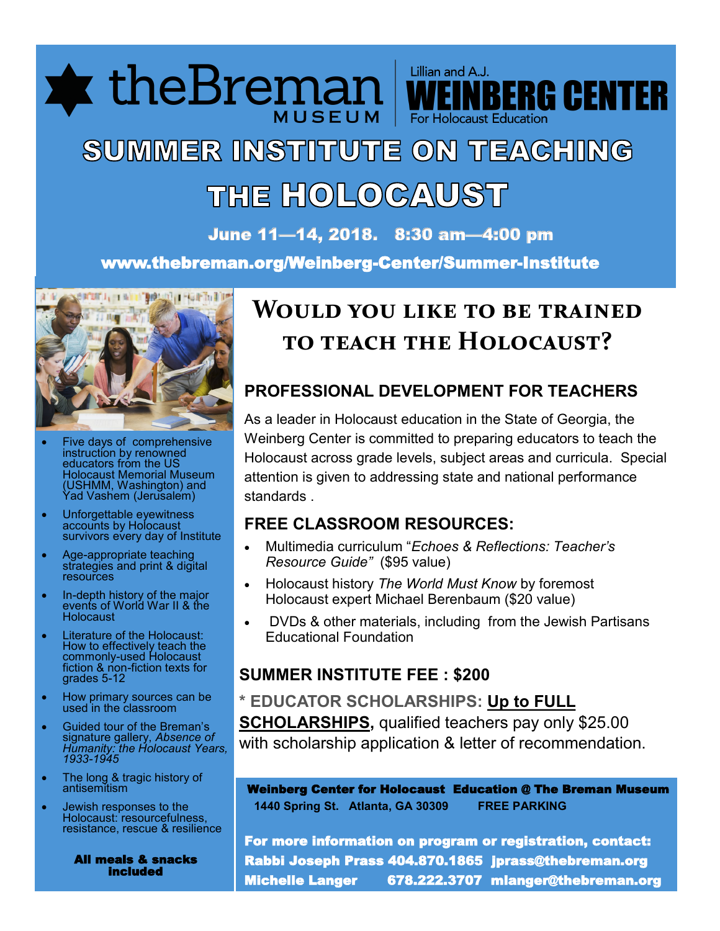**\*** theBremai For Holocaust Educatio

# SUMMER INSTITUTE ON TEACHING THE HOLOCAUST

June 11—14, 2018. 8:30 am—4:00 pm

www.thebreman.org/Weinberg-Center/Summer-Institute



- Five days of comprehensive instruction by renowned educators from the US Holocaust Memorial Museum (USHMM, Washington) and Yad Vashem (Jerusalem)
- Unforgettable eyewitness accounts by Holocaust survivors every day of Institute
- Age-appropriate teaching strategies and print & digital **resources**
- In-depth history of the major events of World War II & the Holocaust
- Literature of the Holocaust: How to effectively teach the commonly-used Holocaust fiction & non-fiction texts for grades 5-12
- How primary sources can be used in the classroom
- Guided tour of the Breman's signature gallery, *Absence of Humanity: the Holocaust Years, 1933-1945*
- The long & tragic history of antisemitism
- Jewish responses to the Holocaust: resourcefulness, resistance, rescue & resilience

 All meals & snacks included

## **Would you like to be trained to teach the Holocaust?**

Lillian and A.J.

**IBERG CENTER** 

### **PROFESSIONAL DEVELOPMENT FOR TEACHERS**

As a leader in Holocaust education in the State of Georgia, the Weinberg Center is committed to preparing educators to teach the Holocaust across grade levels, subject areas and curricula. Special attention is given to addressing state and national performance standards .

### **FREE CLASSROOM RESOURCES:**

- Multimedia curriculum "*Echoes & Reflections: Teacher's Resource Guide"* (\$95 value)
- Holocaust history *The World Must Know* by foremost Holocaust expert Michael Berenbaum (\$20 value)
- DVDs & other materials, including from the Jewish Partisans Educational Foundation

### **SUMMER INSTITUTE FEE : \$200**

**\* EDUCATOR SCHOLARSHIPS: Up to FULL SCHOLARSHIPS,** qualified teachers pay only \$25.00 with scholarship application & letter of recommendation.

Weinberg Center for Holocaust Education @ The Breman Museum  **1440 Spring St. Atlanta, GA 30309 FREE PARKING**

For more information on program or registration, contact: Rabbi Joseph Prass 404.870.1865 jprass@thebreman.org Michelle Langer 678.222.3707 mlanger@thebreman.org